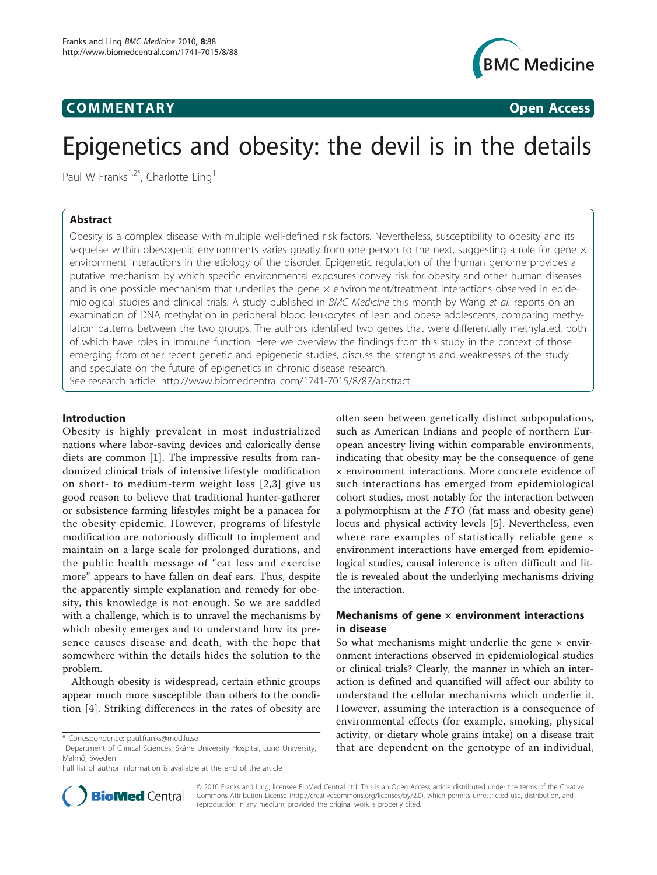## **COMMENTARY COMMENTARY Open Access**



# Epigenetics and obesity: the devil is in the details

Paul W Franks<sup>1,2\*</sup>, Charlotte Ling<sup>1</sup>

## Abstract

Obesity is a complex disease with multiple well-defined risk factors. Nevertheless, susceptibility to obesity and its sequelae within obesogenic environments varies greatly from one person to the next, suggesting a role for gene  $\times$ environment interactions in the etiology of the disorder. Epigenetic regulation of the human genome provides a putative mechanism by which specific environmental exposures convey risk for obesity and other human diseases and is one possible mechanism that underlies the gene  $\times$  environment/treatment interactions observed in epidemiological studies and clinical trials. A study published in BMC Medicine this month by Wang et al. reports on an examination of DNA methylation in peripheral blood leukocytes of lean and obese adolescents, comparing methylation patterns between the two groups. The authors identified two genes that were differentially methylated, both of which have roles in immune function. Here we overview the findings from this study in the context of those emerging from other recent genetic and epigenetic studies, discuss the strengths and weaknesses of the study and speculate on the future of epigenetics in chronic disease research.

See research article:<http://www.biomedcentral.com/1741-7015/8/87/abstract>

## Introduction

Obesity is highly prevalent in most industrialized nations where labor-saving devices and calorically dense diets are common [[1\]](#page-3-0). The impressive results from randomized clinical trials of intensive lifestyle modification on short- to medium-term weight loss [[2](#page-3-0),[3](#page-3-0)] give us good reason to believe that traditional hunter-gatherer or subsistence farming lifestyles might be a panacea for the obesity epidemic. However, programs of lifestyle modification are notoriously difficult to implement and maintain on a large scale for prolonged durations, and the public health message of "eat less and exercise more" appears to have fallen on deaf ears. Thus, despite the apparently simple explanation and remedy for obesity, this knowledge is not enough. So we are saddled with a challenge, which is to unravel the mechanisms by which obesity emerges and to understand how its presence causes disease and death, with the hope that somewhere within the details hides the solution to the problem.

Although obesity is widespread, certain ethnic groups appear much more susceptible than others to the condition [\[4](#page-3-0)]. Striking differences in the rates of obesity are often seen between genetically distinct subpopulations, such as American Indians and people of northern European ancestry living within comparable environments, indicating that obesity may be the consequence of gene × environment interactions. More concrete evidence of such interactions has emerged from epidemiological cohort studies, most notably for the interaction between a polymorphism at the FTO (fat mass and obesity gene) locus and physical activity levels [\[5](#page-3-0)]. Nevertheless, even where rare examples of statistically reliable gene  $\times$ environment interactions have emerged from epidemiological studies, causal inference is often difficult and little is revealed about the underlying mechanisms driving the interaction.

## Mechanisms of gene  $\times$  environment interactions in disease

So what mechanisms might underlie the gene  $\times$  environment interactions observed in epidemiological studies or clinical trials? Clearly, the manner in which an interaction is defined and quantified will affect our ability to understand the cellular mechanisms which underlie it. However, assuming the interaction is a consequence of environmental effects (for example, smoking, physical activity, or dietary whole grains intake) on a disease trait that are dependent on the genotype of an individual,



© 2010 Franks and Ling; licensee BioMed Central Ltd. This is an Open Access article distributed under the terms of the Creative Commons Attribution License [\(http://creativecommons.org/licenses/by/2.0](http://creativecommons.org/licenses/by/2.0)), which permits unrestricted use, distribution, and reproduction in any medium, provided the original work is properly cited.

<sup>\*</sup> Correspondence: [paul.franks@med.lu.se](mailto:paul.franks@med.lu.se)

<sup>&</sup>lt;sup>1</sup>Department of Clinical Sciences, Skåne University Hospital, Lund University, Malmö, Sweden

Full list of author information is available at the end of the article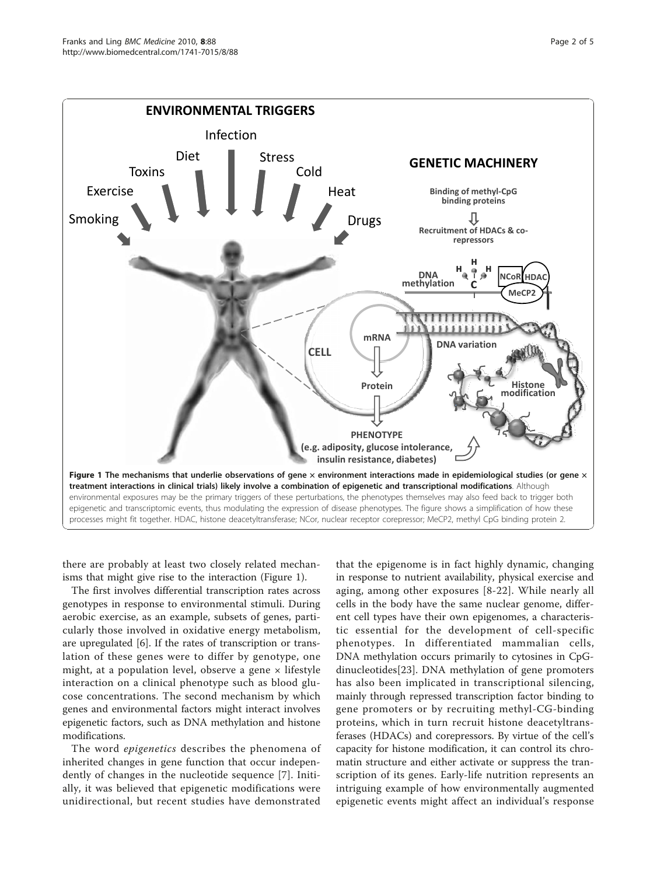

there are probably at least two closely related mechanisms that might give rise to the interaction (Figure 1).

The first involves differential transcription rates across genotypes in response to environmental stimuli. During aerobic exercise, as an example, subsets of genes, particularly those involved in oxidative energy metabolism, are upregulated [[6\]](#page-3-0). If the rates of transcription or translation of these genes were to differ by genotype, one might, at a population level, observe a gene  $\times$  lifestyle interaction on a clinical phenotype such as blood glucose concentrations. The second mechanism by which genes and environmental factors might interact involves epigenetic factors, such as DNA methylation and histone modifications.

The word epigenetics describes the phenomena of inherited changes in gene function that occur independently of changes in the nucleotide sequence [\[7](#page-3-0)]. Initially, it was believed that epigenetic modifications were unidirectional, but recent studies have demonstrated that the epigenome is in fact highly dynamic, changing in response to nutrient availability, physical exercise and aging, among other exposures [\[8](#page-3-0)-[22](#page-3-0)]. While nearly all cells in the body have the same nuclear genome, different cell types have their own epigenomes, a characteristic essential for the development of cell-specific phenotypes. In differentiated mammalian cells, DNA methylation occurs primarily to cytosines in CpGdinucleotides[[23\]](#page-3-0). DNA methylation of gene promoters has also been implicated in transcriptional silencing, mainly through repressed transcription factor binding to gene promoters or by recruiting methyl-CG-binding proteins, which in turn recruit histone deacetyltransferases (HDACs) and corepressors. By virtue of the cell's capacity for histone modification, it can control its chromatin structure and either activate or suppress the transcription of its genes. Early-life nutrition represents an intriguing example of how environmentally augmented epigenetic events might affect an individual's response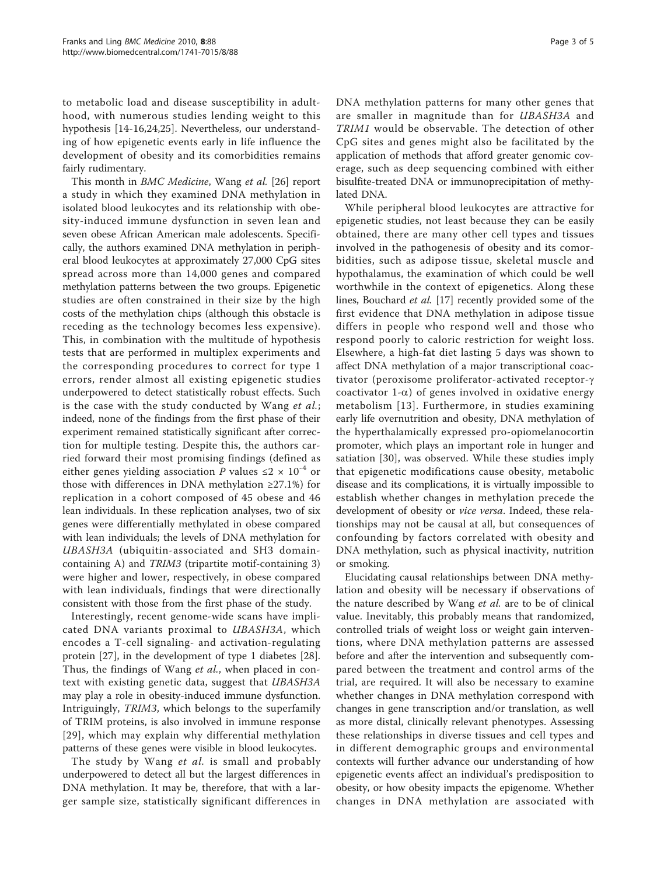to metabolic load and disease susceptibility in adulthood, with numerous studies lending weight to this hypothesis [\[14](#page-3-0)-[16,24,25](#page-3-0)]. Nevertheless, our understanding of how epigenetic events early in life influence the development of obesity and its comorbidities remains fairly rudimentary.

This month in BMC Medicine, Wang et al. [\[26](#page-4-0)] report a study in which they examined DNA methylation in isolated blood leukocytes and its relationship with obesity-induced immune dysfunction in seven lean and seven obese African American male adolescents. Specifically, the authors examined DNA methylation in peripheral blood leukocytes at approximately 27,000 CpG sites spread across more than 14,000 genes and compared methylation patterns between the two groups. Epigenetic studies are often constrained in their size by the high costs of the methylation chips (although this obstacle is receding as the technology becomes less expensive). This, in combination with the multitude of hypothesis tests that are performed in multiplex experiments and the corresponding procedures to correct for type 1 errors, render almost all existing epigenetic studies underpowered to detect statistically robust effects. Such is the case with the study conducted by Wang et al.; indeed, none of the findings from the first phase of their experiment remained statistically significant after correction for multiple testing. Despite this, the authors carried forward their most promising findings (defined as either genes yielding association P values  $\leq 2 \times 10^{-4}$  or those with differences in DNA methylation ≥27.1%) for replication in a cohort composed of 45 obese and 46 lean individuals. In these replication analyses, two of six genes were differentially methylated in obese compared with lean individuals; the levels of DNA methylation for UBASH3A (ubiquitin-associated and SH3 domaincontaining A) and TRIM3 (tripartite motif-containing 3) were higher and lower, respectively, in obese compared with lean individuals, findings that were directionally consistent with those from the first phase of the study.

Interestingly, recent genome-wide scans have implicated DNA variants proximal to UBASH3A, which encodes a T-cell signaling- and activation-regulating protein [[27\]](#page-4-0), in the development of type 1 diabetes [\[28](#page-4-0)]. Thus, the findings of Wang et al., when placed in context with existing genetic data, suggest that UBASH3A may play a role in obesity-induced immune dysfunction. Intriguingly, TRIM3, which belongs to the superfamily of TRIM proteins, is also involved in immune response [[29\]](#page-4-0), which may explain why differential methylation patterns of these genes were visible in blood leukocytes.

The study by Wang et al. is small and probably underpowered to detect all but the largest differences in DNA methylation. It may be, therefore, that with a larger sample size, statistically significant differences in DNA methylation patterns for many other genes that are smaller in magnitude than for UBASH3A and TRIM1 would be observable. The detection of other CpG sites and genes might also be facilitated by the application of methods that afford greater genomic coverage, such as deep sequencing combined with either bisulfite-treated DNA or immunoprecipitation of methylated DNA.

While peripheral blood leukocytes are attractive for epigenetic studies, not least because they can be easily obtained, there are many other cell types and tissues involved in the pathogenesis of obesity and its comorbidities, such as adipose tissue, skeletal muscle and hypothalamus, the examination of which could be well worthwhile in the context of epigenetics. Along these lines, Bouchard et al. [[17](#page-3-0)] recently provided some of the first evidence that DNA methylation in adipose tissue differs in people who respond well and those who respond poorly to caloric restriction for weight loss. Elsewhere, a high-fat diet lasting 5 days was shown to affect DNA methylation of a major transcriptional coactivator (peroxisome proliferator-activated receptor-g coactivator 1- $\alpha$ ) of genes involved in oxidative energy metabolism [[13\]](#page-3-0). Furthermore, in studies examining early life overnutrition and obesity, DNA methylation of the hyperthalamically expressed pro-opiomelanocortin promoter, which plays an important role in hunger and satiation [\[30](#page-4-0)], was observed. While these studies imply that epigenetic modifications cause obesity, metabolic disease and its complications, it is virtually impossible to establish whether changes in methylation precede the development of obesity or vice versa. Indeed, these relationships may not be causal at all, but consequences of confounding by factors correlated with obesity and DNA methylation, such as physical inactivity, nutrition or smoking.

Elucidating causal relationships between DNA methylation and obesity will be necessary if observations of the nature described by Wang et al. are to be of clinical value. Inevitably, this probably means that randomized, controlled trials of weight loss or weight gain interventions, where DNA methylation patterns are assessed before and after the intervention and subsequently compared between the treatment and control arms of the trial, are required. It will also be necessary to examine whether changes in DNA methylation correspond with changes in gene transcription and/or translation, as well as more distal, clinically relevant phenotypes. Assessing these relationships in diverse tissues and cell types and in different demographic groups and environmental contexts will further advance our understanding of how epigenetic events affect an individual's predisposition to obesity, or how obesity impacts the epigenome. Whether changes in DNA methylation are associated with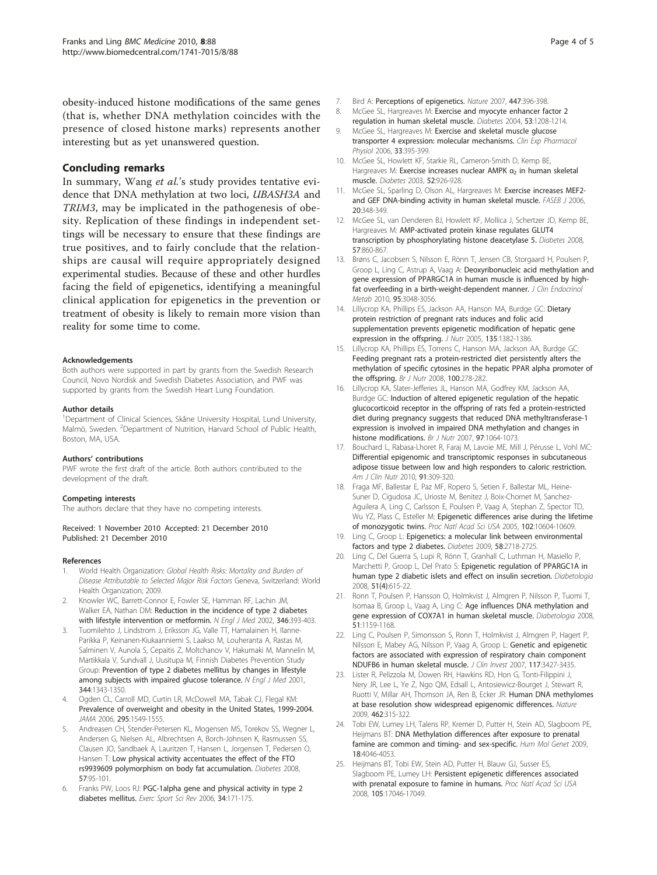<span id="page-3-0"></span>obesity-induced histone modifications of the same genes (that is, whether DNA methylation coincides with the presence of closed histone marks) represents another interesting but as yet unanswered question.

## Concluding remarks

In summary, Wang et al.'s study provides tentative evidence that DNA methylation at two loci, UBASH3A and TRIM3, may be implicated in the pathogenesis of obesity. Replication of these findings in independent settings will be necessary to ensure that these findings are true positives, and to fairly conclude that the relationships are causal will require appropriately designed experimental studies. Because of these and other hurdles facing the field of epigenetics, identifying a meaningful clinical application for epigenetics in the prevention or treatment of obesity is likely to remain more vision than reality for some time to come.

#### Acknowledgements

Both authors were supported in part by grants from the Swedish Research Council, Novo Nordisk and Swedish Diabetes Association, and PWF was supported by grants from the Swedish Heart Lung Foundation.

#### Author details

<sup>1</sup>Department of Clinical Sciences, Skåne University Hospital, Lund University, Malmö, Sweden. <sup>2</sup>Department of Nutrition, Harvard School of Public Health, Boston, MA, USA.

#### Authors' contributions

PWF wrote the first draft of the article. Both authors contributed to the development of the draft.

#### Competing interests

The authors declare that they have no competing interests.

#### Received: 1 November 2010 Accepted: 21 December 2010 Published: 21 December 2010

#### References

- World Health Organization: Global Health Risks: Mortality and Burden of Disease Attributable to Selected Major Risk Factors Geneva, Switzerland: World Health Organization; 2009.
- 2. Knowler WC, Barrett-Connor E, Fowler SE, Hamman RF, Lachin JM, Walker EA, Nathan DM: [Reduction in the incidence of type 2 diabetes](http://www.ncbi.nlm.nih.gov/pubmed/11832527?dopt=Abstract) [with lifestyle intervention or metformin.](http://www.ncbi.nlm.nih.gov/pubmed/11832527?dopt=Abstract) N Engl J Med 2002, 346:393-403.
- Tuomilehto J, Lindstrom J, Eriksson JG, Valle TT, Hamalainen H, Ilanne-Parikka P, Keinanen-Kiukaanniemi S, Laakso M, Louheranta A, Rastas M, Salminen V, Aunola S, Cepaitis Z, Moltchanov V, Hakumaki M, Mannelin M, Martikkala V, Sundvall J, Uusitupa M, Finnish Diabetes Prevention Study Group: [Prevention of type 2 diabetes mellitus by changes in lifestyle](http://www.ncbi.nlm.nih.gov/pubmed/11333990?dopt=Abstract) [among subjects with impaired glucose tolerance.](http://www.ncbi.nlm.nih.gov/pubmed/11333990?dopt=Abstract) N Engl J Med 2001, 344:1343-1350.
- Ogden CL, Carroll MD, Curtin LR, McDowell MA, Tabak CJ, Flegal KM: [Prevalence of overweight and obesity in the United States, 1999-2004.](http://www.ncbi.nlm.nih.gov/pubmed/16595758?dopt=Abstract) JAMA 2006, 295:1549-1555.
- 5. Andreasen CH, Stender-Petersen KL, Mogensen MS, Torekov SS, Wegner L, Andersen G, Nielsen AL, Albrechtsen A, Borch-Johnsen K, Rasmussen SS, Clausen JO, Sandbaek A, Lauritzen T, Hansen L, Jorgensen T, Pedersen O, Hansen T: [Low physical activity accentuates the effect of the FTO](http://www.ncbi.nlm.nih.gov/pubmed/17942823?dopt=Abstract) [rs9939609 polymorphism on body fat accumulation.](http://www.ncbi.nlm.nih.gov/pubmed/17942823?dopt=Abstract) Diabetes 2008, 57:95-101.
- Franks PW, Loos RJ: [PGC-1alpha gene and physical activity in type 2](http://www.ncbi.nlm.nih.gov/pubmed/17031255?dopt=Abstract) [diabetes mellitus.](http://www.ncbi.nlm.nih.gov/pubmed/17031255?dopt=Abstract) Exerc Sport Sci Rev 2006, 34:171-175.
- 7. Bird A: [Perceptions of epigenetics.](http://www.ncbi.nlm.nih.gov/pubmed/17522671?dopt=Abstract) Nature 2007, 447:396-398.
- 8. McGee SL, Hargreaves M: [Exercise and myocyte enhancer factor 2](http://www.ncbi.nlm.nih.gov/pubmed/15111488?dopt=Abstract) [regulation in human skeletal muscle.](http://www.ncbi.nlm.nih.gov/pubmed/15111488?dopt=Abstract) Diabetes 2004, 53:1208-1214.
- 9. McGee SL, Hargreaves M: [Exercise and skeletal muscle glucose](http://www.ncbi.nlm.nih.gov/pubmed/16620308?dopt=Abstract) [transporter 4 expression: molecular mechanisms.](http://www.ncbi.nlm.nih.gov/pubmed/16620308?dopt=Abstract) Clin Exp Pharmacol Physiol 2006, 33:395-399.
- 10. McGee SL, Howlett KF, Starkie RL, Cameron-Smith D, Kemp BE, Hargreaves M: [Exercise increases nuclear AMPK](http://www.ncbi.nlm.nih.gov/pubmed/12663462?dopt=Abstract) α<sub>2</sub> [in human skeletal](http://www.ncbi.nlm.nih.gov/pubmed/12663462?dopt=Abstract) [muscle.](http://www.ncbi.nlm.nih.gov/pubmed/12663462?dopt=Abstract) Diabetes 2003, 52:926-928.
- 11. McGee SL, Sparling D, Olson AL, Hargreaves M: [Exercise increases MEF2](http://www.ncbi.nlm.nih.gov/pubmed/16368714?dopt=Abstract) [and GEF DNA-binding activity in human skeletal muscle.](http://www.ncbi.nlm.nih.gov/pubmed/16368714?dopt=Abstract) FASEB J 2006, 20:348-349.
- 12. McGee SL, van Denderen BJ, Howlett KF, Mollica J, Schertzer JD, Kemp BE, Hargreaves M: [AMP-activated protein kinase regulates GLUT4](http://www.ncbi.nlm.nih.gov/pubmed/18184930?dopt=Abstract) [transcription by phosphorylating histone deacetylase 5.](http://www.ncbi.nlm.nih.gov/pubmed/18184930?dopt=Abstract) Diabetes 2008, 57:860-867.
- 13. Brøns C, Jacobsen S, Nilsson E, Rönn T, Jensen CB, Storgaard H, Poulsen P, Groop L, Ling C, Astrup A, Vaag A: [Deoxyribonucleic acid methylation and](http://www.ncbi.nlm.nih.gov/pubmed/20410232?dopt=Abstract) [gene expression of PPARGC1A in human muscle is influenced by high](http://www.ncbi.nlm.nih.gov/pubmed/20410232?dopt=Abstract)[fat overfeeding in a birth-weight-dependent manner.](http://www.ncbi.nlm.nih.gov/pubmed/20410232?dopt=Abstract) J Clin Endocrinol Metab 2010, 95:3048-3056.
- 14. Lillycrop KA, Phillips ES, Jackson AA, Hanson MA, Burdge GC: [Dietary](http://www.ncbi.nlm.nih.gov/pubmed/15930441?dopt=Abstract) [protein restriction of pregnant rats induces and folic acid](http://www.ncbi.nlm.nih.gov/pubmed/15930441?dopt=Abstract) [supplementation prevents epigenetic modification of hepatic gene](http://www.ncbi.nlm.nih.gov/pubmed/15930441?dopt=Abstract) [expression in the offspring.](http://www.ncbi.nlm.nih.gov/pubmed/15930441?dopt=Abstract) J Nutr 2005, 135:1382-1386.
- 15. Lillycrop KA, Phillips ES, Torrens C, Hanson MA, Jackson AA, Burdge GC: [Feeding pregnant rats a protein-restricted diet persistently alters the](http://www.ncbi.nlm.nih.gov/pubmed/18186951?dopt=Abstract) [methylation of specific cytosines in the hepatic PPAR alpha promoter of](http://www.ncbi.nlm.nih.gov/pubmed/18186951?dopt=Abstract) [the offspring.](http://www.ncbi.nlm.nih.gov/pubmed/18186951?dopt=Abstract) Br J Nutr 2008, 100:278-282.
- 16. Lillycrop KA, Slater-Jefferies JL, Hanson MA, Godfrey KM, Jackson AA, Burdge GC: [Induction of altered epigenetic regulation of the hepatic](http://www.ncbi.nlm.nih.gov/pubmed/17433129?dopt=Abstract) [glucocorticoid receptor in the offspring of rats fed a protein-restricted](http://www.ncbi.nlm.nih.gov/pubmed/17433129?dopt=Abstract) [diet during pregnancy suggests that reduced DNA methyltransferase-1](http://www.ncbi.nlm.nih.gov/pubmed/17433129?dopt=Abstract) [expression is involved in impaired DNA methylation and changes in](http://www.ncbi.nlm.nih.gov/pubmed/17433129?dopt=Abstract) [histone modifications.](http://www.ncbi.nlm.nih.gov/pubmed/17433129?dopt=Abstract) Br J Nutr 2007, 97:1064-1073.
- 17. Bouchard L, Rabasa-Lhoret R, Faraj M, Lavoie ME, Mill J, Pérusse L, Vohl MC: [Differential epigenomic and transcriptomic responses in subcutaneous](http://www.ncbi.nlm.nih.gov/pubmed/19939982?dopt=Abstract) [adipose tissue between low and high responders to caloric restriction.](http://www.ncbi.nlm.nih.gov/pubmed/19939982?dopt=Abstract) Am J Clin Nutr 2010, 91:309-320.
- 18. Fraga MF, Ballestar E, Paz MF, Ropero S, Setien F, Ballestar ML, Heine-Suner D, Cigudosa JC, Urioste M, Benitez J, Boix-Chornet M, Sanchez-Aguilera A, Ling C, Carlsson E, Poulsen P, Vaag A, Stephan Z, Spector TD, Wu YZ, Plass C, Esteller M: [Epigenetic differences arise during the lifetime](http://www.ncbi.nlm.nih.gov/pubmed/16009939?dopt=Abstract) [of monozygotic twins.](http://www.ncbi.nlm.nih.gov/pubmed/16009939?dopt=Abstract) Proc Natl Acad Sci USA 2005, 102:10604-10609.
- 19. Ling C, Groop L: [Epigenetics: a molecular link between environmental](http://www.ncbi.nlm.nih.gov/pubmed/19940235?dopt=Abstract) [factors and type 2 diabetes.](http://www.ncbi.nlm.nih.gov/pubmed/19940235?dopt=Abstract) Diabetes 2009, 58:2718-2725.
- 20. Ling C, Del Guerra S, Lupi R, Rönn T, Granhall C, Luthman H, Masiello P, Marchetti P, Groop L, Del Prato S: [Epigenetic regulation of PPARGC1A in](http://www.ncbi.nlm.nih.gov/pubmed/18270681?dopt=Abstract) [human type 2 diabetic islets and effect on insulin secretion.](http://www.ncbi.nlm.nih.gov/pubmed/18270681?dopt=Abstract) Diabetologia 2008, 51(4):615-22.
- 21. Ronn T, Poulsen P, Hansson O, Holmkvist J, Almgren P, Nilsson P, Tuomi T, Isomaa B, Groop L, Vaag A, Ling C: [Age influences DNA methylation and](http://www.ncbi.nlm.nih.gov/pubmed/18488190?dopt=Abstract) [gene expression of COX7A1 in human skeletal muscle.](http://www.ncbi.nlm.nih.gov/pubmed/18488190?dopt=Abstract) Diabetologia 2008, 51:1159-1168.
- 22. Ling C, Poulsen P, Simonsson S, Ronn T, Holmkvist J, Almgren P, Hagert P, Nilsson E, Mabey AG, Nilsson P, Vaag A, Groop L: [Genetic and epigenetic](http://www.ncbi.nlm.nih.gov/pubmed/17948130?dopt=Abstract) [factors are associated with expression of respiratory chain component](http://www.ncbi.nlm.nih.gov/pubmed/17948130?dopt=Abstract) [NDUFB6 in human skeletal muscle.](http://www.ncbi.nlm.nih.gov/pubmed/17948130?dopt=Abstract) J Clin Invest 2007, 117:3427-3435.
- 23. Lister R, Pelizzola M, Dowen RH, Hawkins RD, Hon G, Tonti-Filippini J, Nery JR, Lee L, Ye Z, Ngo QM, Edsall L, Antosiewicz-Bourget J, Stewart R, Ruotti V, Millar AH, Thomson JA, Ren B, Ecker JR: [Human DNA methylomes](http://www.ncbi.nlm.nih.gov/pubmed/19829295?dopt=Abstract) [at base resolution show widespread epigenomic differences.](http://www.ncbi.nlm.nih.gov/pubmed/19829295?dopt=Abstract) Nature 2009, 462:315-322.
- 24. Tobi EW, Lumey LH, Talens RP, Kremer D, Putter H, Stein AD, Slagboom PE, Heijmans BT: [DNA Methylation differences after exposure to prenatal](http://www.ncbi.nlm.nih.gov/pubmed/19656776?dopt=Abstract) [famine are common and timing- and sex-specific.](http://www.ncbi.nlm.nih.gov/pubmed/19656776?dopt=Abstract) Hum Mol Genet 2009, 18:4046-4053.
- 25. Heijmans BT, Tobi EW, Stein AD, Putter H, Blauw GJ, Susser ES, Slagboom PE, Lumey LH: [Persistent epigenetic differences associated](http://www.ncbi.nlm.nih.gov/pubmed/18955703?dopt=Abstract) [with prenatal exposure to famine in humans.](http://www.ncbi.nlm.nih.gov/pubmed/18955703?dopt=Abstract) Proc Natl Acad Sci USA 2008, 105:17046-17049.